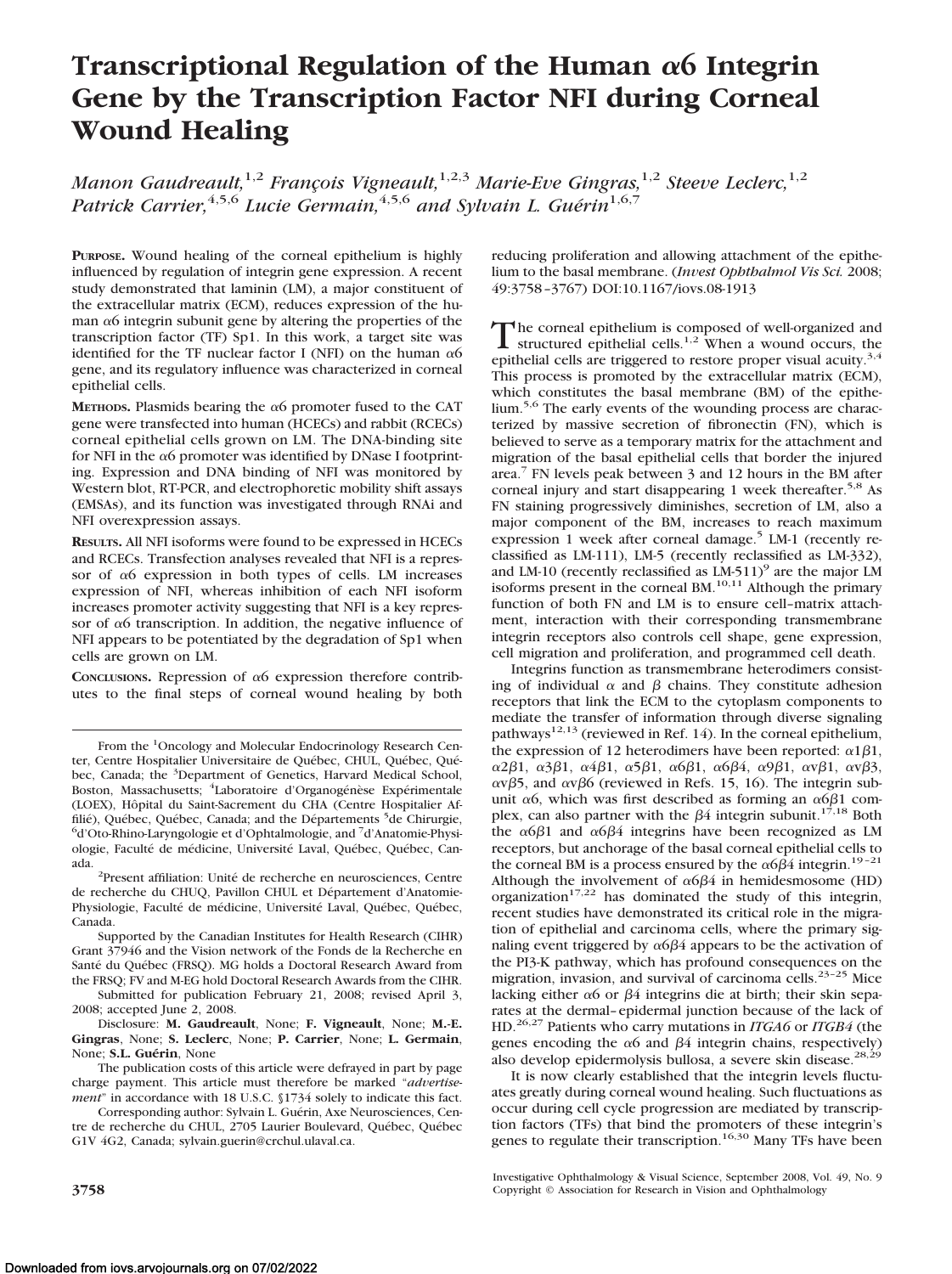# **Transcriptional Regulation of the Human 6 Integrin Gene by the Transcription Factor NFI during Corneal Wound Healing**

*Manon Gaudreault*,<sup>1,2</sup> *François Vigneault*,<sup>1,2,3</sup> *Marie-Eve Gingras*,<sup>1,2</sup> *Steeve Leclerc*,<sup>1,2</sup> *Patrick Carrier*,<sup>4,5,6</sup> *Lucie Germain*,<sup>4,5,6</sup> and Sylvain L. Guérin<sup>1,6,7</sup>

**PURPOSE.** Wound healing of the corneal epithelium is highly influenced by regulation of integrin gene expression. A recent study demonstrated that laminin (LM), a major constituent of the extracellular matrix (ECM), reduces expression of the human  $\alpha$ 6 integrin subunit gene by altering the properties of the transcription factor (TF) Sp1. In this work, a target site was identified for the TF nuclear factor I (NFI) on the human  $\alpha$ 6 gene, and its regulatory influence was characterized in corneal epithelial cells.

**METHODS.** Plasmids bearing the  $\alpha$ 6 promoter fused to the CAT gene were transfected into human (HCECs) and rabbit (RCECs) corneal epithelial cells grown on LM. The DNA-binding site for NFI in the  $\alpha$ 6 promoter was identified by DNase I footprinting. Expression and DNA binding of NFI was monitored by Western blot, RT-PCR, and electrophoretic mobility shift assays (EMSAs), and its function was investigated through RNAi and NFI overexpression assays.

**RESULTS.** All NFI isoforms were found to be expressed in HCECs and RCECs. Transfection analyses revealed that NFI is a repressor of  $\alpha$ 6 expression in both types of cells. LM increases expression of NFI, whereas inhibition of each NFI isoform increases promoter activity suggesting that NFI is a key repressor of  $\alpha$ 6 transcription. In addition, the negative influence of NFI appears to be potentiated by the degradation of Sp1 when cells are grown on LM.

**CONCLUSIONS.** Repression of  $\alpha$ 6 expression therefore contributes to the final steps of corneal wound healing by both

Supported by the Canadian Institutes for Health Research (CIHR) Grant 37946 and the Vision network of the Fonds de la Recherche en Santé du Québec (FRSQ). MG holds a Doctoral Research Award from the FRSQ; FV and M-EG hold Doctoral Research Awards from the CIHR.

Submitted for publication February 21, 2008; revised April 3, 2008; accepted June 2, 2008.

Disclosure: **M. Gaudreault**, None; **F. Vigneault**, None; **M.-E. Gingras**, None; **S. Leclerc**, None; **P. Carrier**, None; **L. Germain**, None: S.L. Guérin, None

The publication costs of this article were defrayed in part by page charge payment. This article must therefore be marked "*advertisement*" in accordance with 18 U.S.C. §1734 solely to indicate this fact.

Corresponding author: Sylvain L. Guérin, Axe Neurosciences, Centre de recherche du CHUL, 2705 Laurier Boulevard, Québec, Québec G1V 4G2, Canada; sylvain.guerin@crchul.ulaval.ca.

reducing proliferation and allowing attachment of the epithelium to the basal membrane. (*Invest Ophthalmol Vis Sci.* 2008; 49:3758 –3767) DOI:10.1167/iovs.08-1913

The corneal epithelium is composed of well-organized and<br>structured epithelial cells.<sup>1,2</sup> When a wound occurs, the epithelial cells are triggered to restore proper visual acuity.<sup>3,4</sup> This process is promoted by the extracellular matrix (ECM), which constitutes the basal membrane (BM) of the epithelium.<sup>5,6</sup> The early events of the wounding process are characterized by massive secretion of fibronectin (FN), which is believed to serve as a temporary matrix for the attachment and migration of the basal epithelial cells that border the injured area.7 FN levels peak between 3 and 12 hours in the BM after corneal injury and start disappearing 1 week thereafter.<sup>5,8</sup> As FN staining progressively diminishes, secretion of LM, also a major component of the BM, increases to reach maximum expression 1 week after corneal damage.<sup>5</sup> LM-1 (recently reclassified as LM-111), LM-5 (recently reclassified as LM-332), and LM-10 (recently reclassified as  $LM-511$ )<sup>9</sup> are the major LM isoforms present in the corneal BM. $^{10,11}$  Although the primary function of both FN and LM is to ensure cell–matrix attachment, interaction with their corresponding transmembrane integrin receptors also controls cell shape, gene expression, cell migration and proliferation, and programmed cell death.

Integrins function as transmembrane heterodimers consisting of individual  $\alpha$  and  $\beta$  chains. They constitute adhesion receptors that link the ECM to the cytoplasm components to mediate the transfer of information through diverse signaling pathways<sup>12,13</sup> (reviewed in Ref. 14). In the corneal epithelium, the expression of 12 heterodimers have been reported:  $\alpha$ 1 $\beta$ 1,  $\alpha$ 2β1, α3β1, α4β1, α5β1, α6β1, α6β4, α9β1, ανβ1, ανβ3,  $\alpha v\beta$ 5, and  $\alpha v\beta$ 6 (reviewed in Refs. 15, 16). The integrin subunit  $\alpha$ 6, which was first described as forming an  $\alpha$ 6 $\beta$ 1 complex, can also partner with the  $\beta$ 4 integrin subunit.<sup>17,18</sup> Both the  $\alpha$ 6 $\beta$ 1 and  $\alpha$ 6 $\beta$ 4 integrins have been recognized as LM receptors, but anchorage of the basal corneal epithelial cells to the corneal BM is a process ensured by the  $\alpha 6\beta 4$  integrin.<sup>19-21</sup> Although the involvement of  $\alpha$ 6 $\beta$ 4 in hemidesmosome (HD) organization<sup>17,22</sup> has dominated the study of this integrin, recent studies have demonstrated its critical role in the migration of epithelial and carcinoma cells, where the primary signaling event triggered by  $\alpha$ 6 $\beta$ 4 appears to be the activation of the PI3-K pathway, which has profound consequences on the migration, invasion, and survival of carcinoma cells.<sup>23-25</sup> Mice lacking either  $\alpha$ 6 or  $\beta$ 4 integrins die at birth; their skin separates at the dermal–epidermal junction because of the lack of HD.26,27 Patients who carry mutations in *ITGA6* or *ITGB4* (the genes encoding the  $\alpha$ 6 and  $\beta$ 4 integrin chains, respectively) also develop epidermolysis bullosa, a severe skin disease.<sup>28,29</sup>

It is now clearly established that the integrin levels fluctuates greatly during corneal wound healing. Such fluctuations as occur during cell cycle progression are mediated by transcription factors (TFs) that bind the promoters of these integrin's genes to regulate their transcription.<sup>16,30</sup> Many TFs have been

Investigative Ophthalmology & Visual Science, September 2008, Vol. 49, No. 9 **3758** Copyright © Association for Research in Vision and Ophthalmology

From the <sup>1</sup>Oncology and Molecular Endocrinology Research Center, Centre Hospitalier Universitaire de Québec, CHUL, Québec, Québec, Canada; the <sup>3</sup>Department of Genetics, Harvard Medical School, Boston, Massachusetts; <sup>4</sup>Laboratoire d'Organogénèse Expérimentale (LOEX), Hôpital du Saint-Sacrement du CHA (Centre Hospitalier Affilié), Québec, Québec, Canada; and the Départements <sup>5</sup>de Chirurgie, <sup>6</sup>d'Oto Phino Laryngologie et d'Ophtalmologie, and <sup>7</sup>d'Anatomie Physi d'Oto-Rhino-Laryngologie et d'Ophtalmologie, and <sup>7</sup> d'Anatomie-Physiologie, Faculté de médicine, Université Laval, Québec, Québec, Canada.

<sup>&</sup>lt;sup>2</sup>Present affiliation: Unité de recherche en neurosciences, Centre de recherche du CHUQ, Pavillon CHUL et Département d'Anatomie-Physiologie, Faculté de médicine, Université Laval, Québec, Québec, Canada.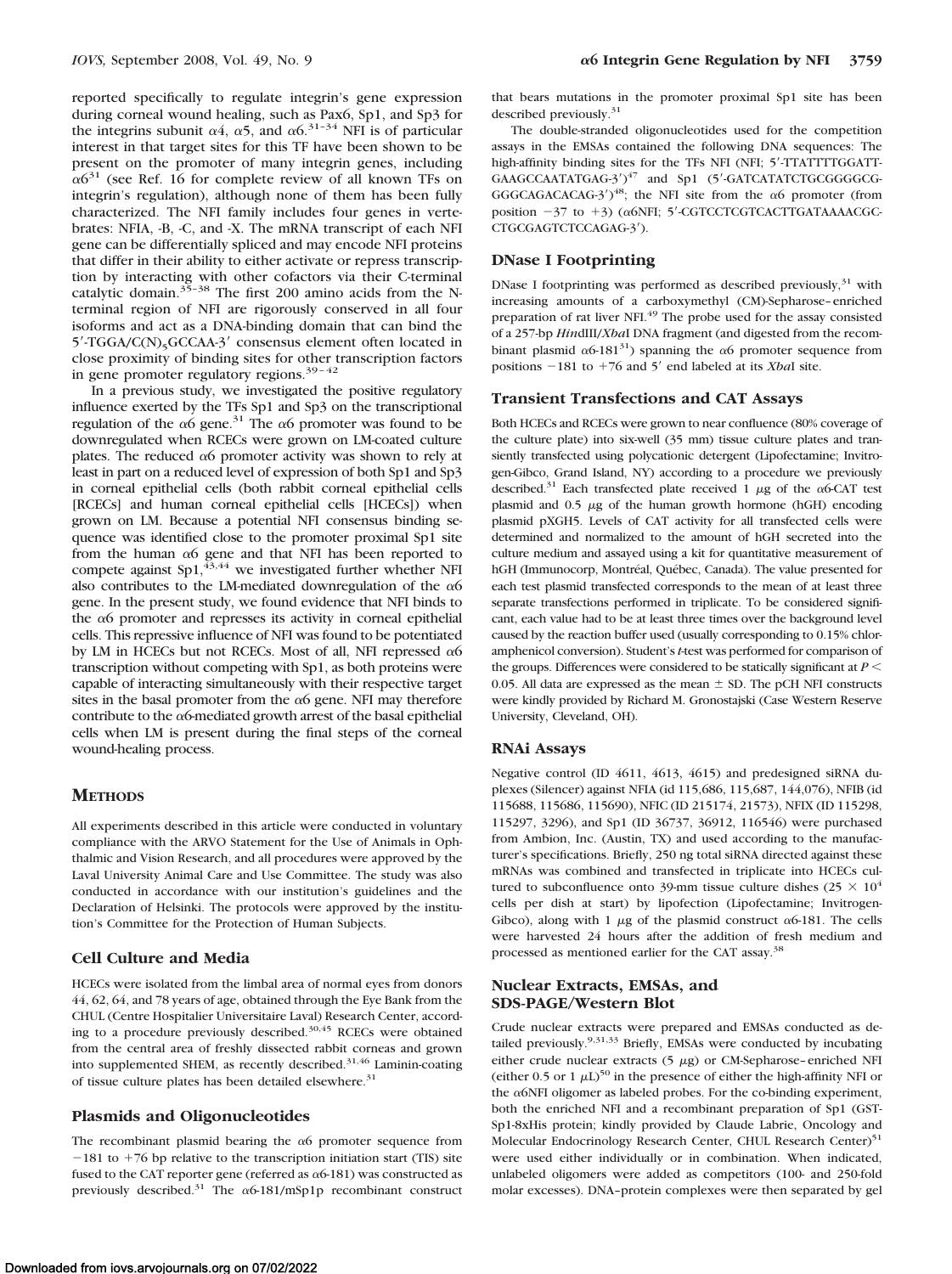reported specifically to regulate integrin's gene expression during corneal wound healing, such as Pax6, Sp1, and Sp3 for the integrins subunit  $\alpha$ 4,  $\alpha$ 5, and  $\alpha$ 6<sup>31-34</sup> NFI is of particular interest in that target sites for this TF have been shown to be present on the promoter of many integrin genes, including  $\alpha$ 6<sup>31</sup> (see Ref. 16 for complete review of all known TFs on integrin's regulation), although none of them has been fully characterized. The NFI family includes four genes in vertebrates: NFIA, -B, -C, and -X. The mRNA transcript of each NFI gene can be differentially spliced and may encode NFI proteins that differ in their ability to either activate or repress transcription by interacting with other cofactors via their C-terminal catalytic domain.<sup>35–38</sup> The first 200 amino acids from the Nterminal region of NFI are rigorously conserved in all four isoforms and act as a DNA-binding domain that can bind the  $5'$ -TGGA/C(N)<sub>5</sub>GCCAA-3' consensus element often located in close proximity of binding sites for other transcription factors in gene promoter regulatory regions. $39 - 42$ 

In a previous study, we investigated the positive regulatory influence exerted by the TFs Sp1 and Sp3 on the transcriptional regulation of the  $\alpha$ 6 gene.<sup>31</sup> The  $\alpha$ 6 promoter was found to be downregulated when RCECs were grown on LM-coated culture plates. The reduced  $\alpha$ 6 promoter activity was shown to rely at least in part on a reduced level of expression of both Sp1 and Sp3 in corneal epithelial cells (both rabbit corneal epithelial cells [RCECs] and human corneal epithelial cells [HCECs]) when grown on LM. Because a potential NFI consensus binding sequence was identified close to the promoter proximal Sp1 site from the human  $\alpha$ 6 gene and that NFI has been reported to compete against  $Sp1,43,44$  we investigated further whether NFI also contributes to the LM-mediated downregulation of the  $\alpha$ 6 gene. In the present study, we found evidence that NFI binds to the  $\alpha$ 6 promoter and represses its activity in corneal epithelial cells. This repressive influence of NFI was found to be potentiated by LM in HCECs but not RCECs. Most of all, NFI repressed  $\alpha$ 6 transcription without competing with Sp1, as both proteins were capable of interacting simultaneously with their respective target sites in the basal promoter from the  $\alpha$ 6 gene. NFI may therefore contribute to the  $\alpha$ 6-mediated growth arrest of the basal epithelial cells when LM is present during the final steps of the corneal wound-healing process.

#### **METHODS**

All experiments described in this article were conducted in voluntary compliance with the ARVO Statement for the Use of Animals in Ophthalmic and Vision Research, and all procedures were approved by the Laval University Animal Care and Use Committee. The study was also conducted in accordance with our institution's guidelines and the Declaration of Helsinki. The protocols were approved by the institution's Committee for the Protection of Human Subjects.

#### **Cell Culture and Media**

HCECs were isolated from the limbal area of normal eyes from donors 44, 62, 64, and 78 years of age, obtained through the Eye Bank from the CHUL (Centre Hospitalier Universitaire Laval) Research Center, according to a procedure previously described.<sup>30,45</sup> RCECs were obtained from the central area of freshly dissected rabbit corneas and grown into supplemented SHEM, as recently described.31,46 Laminin-coating of tissue culture plates has been detailed elsewhere.<sup>31</sup>

#### **Plasmids and Oligonucleotides**

The recombinant plasmid bearing the  $\alpha$ 6 promoter sequence from  $-181$  to  $+76$  bp relative to the transcription initiation start (TIS) site fused to the CAT reporter gene (referred as  $\alpha$ 6-181) was constructed as previously described.<sup>31</sup> The  $\alpha$ 6-181/mSp1p recombinant construct

that bears mutations in the promoter proximal Sp1 site has been described previously.<sup>31</sup>

The double-stranded oligonucleotides used for the competition assays in the EMSAs contained the following DNA sequences: The high-affinity binding sites for the TFs NFI (NFI; 5'-TTATTTTGGATT-GAAGCCAATATGAG-3')<sup>47</sup> and Sp1 (5'-GATCATATCTGCGGGGCG-GGGCAGACACAG-3')<sup>48</sup>; the NFI site from the  $\alpha$ 6 promoter (from position -37 to +3) (α6NFI; 5'-CGTCCTCGTCACTTGATAAAACGC-CTGCGAGTCTCCAGAG-3).

#### **DNase I Footprinting**

DNase I footprinting was performed as described previously, $31$  with increasing amounts of a carboxymethyl (CM)-Sepharose–enriched preparation of rat liver NFI.<sup>49</sup> The probe used for the assay consisted of a 257-bp *Hin*dIII/*Xba*I DNA fragment (and digested from the recombinant plasmid  $\alpha$ 6-181<sup>31</sup>) spanning the  $\alpha$ 6 promoter sequence from positions -181 to +76 and 5' end labeled at its *XbaI* site.

## **Transient Transfections and CAT Assays**

Both HCECs and RCECs were grown to near confluence (80% coverage of the culture plate) into six-well (35 mm) tissue culture plates and transiently transfected using polycationic detergent (Lipofectamine; Invitrogen-Gibco, Grand Island, NY) according to a procedure we previously described.<sup>31</sup> Each transfected plate received 1  $\mu$ g of the  $\alpha$ 6-CAT test plasmid and  $0.5 \mu g$  of the human growth hormone (hGH) encoding plasmid pXGH5. Levels of CAT activity for all transfected cells were determined and normalized to the amount of hGH secreted into the culture medium and assayed using a kit for quantitative measurement of hGH (Immunocorp, Montréal, Québec, Canada). The value presented for each test plasmid transfected corresponds to the mean of at least three separate transfections performed in triplicate. To be considered significant, each value had to be at least three times over the background level caused by the reaction buffer used (usually corresponding to 0.15% chloramphenicol conversion). Student's*t*-test was performed for comparison of the groups. Differences were considered to be statically significant at  $P \leq$ 0.05. All data are expressed as the mean  $\pm$  SD. The pCH NFI constructs were kindly provided by Richard M. Gronostajski (Case Western Reserve University, Cleveland, OH).

#### **RNAi Assays**

Negative control (ID 4611, 4613, 4615) and predesigned siRNA duplexes (Silencer) against NFIA (id 115,686, 115,687, 144,076), NFIB (id 115688, 115686, 115690), NFIC (ID 215174, 21573), NFIX (ID 115298, 115297, 3296), and Sp1 (ID 36737, 36912, 116546) were purchased from Ambion, Inc. (Austin, TX) and used according to the manufacturer's specifications. Briefly, 250 ng total siRNA directed against these mRNAs was combined and transfected in triplicate into HCECs cultured to subconfluence onto 39-mm tissue culture dishes (25  $\times$  10<sup>4</sup> cells per dish at start) by lipofection (Lipofectamine; Invitrogen-Gibco), along with 1  $\mu$ g of the plasmid construct  $\alpha$ 6-181. The cells were harvested 24 hours after the addition of fresh medium and processed as mentioned earlier for the CAT assay.<sup>38</sup>

### **Nuclear Extracts, EMSAs, and SDS-PAGE/Western Blot**

Crude nuclear extracts were prepared and EMSAs conducted as detailed previously.<sup>9,31,33</sup> Briefly, EMSAs were conducted by incubating either crude nuclear extracts  $(5 \mu g)$  or CM-Sepharose-enriched NFI (either 0.5 or 1  $\mu$ L)<sup>50</sup> in the presence of either the high-affinity NFI or the  $\alpha$ 6NFI oligomer as labeled probes. For the co-binding experiment, both the enriched NFI and a recombinant preparation of Sp1 (GST-Sp1-8xHis protein; kindly provided by Claude Labrie, Oncology and Molecular Endocrinology Research Center, CHUL Research Center)<sup>51</sup> were used either individually or in combination. When indicated, unlabeled oligomers were added as competitors (100- and 250-fold molar excesses). DNA–protein complexes were then separated by gel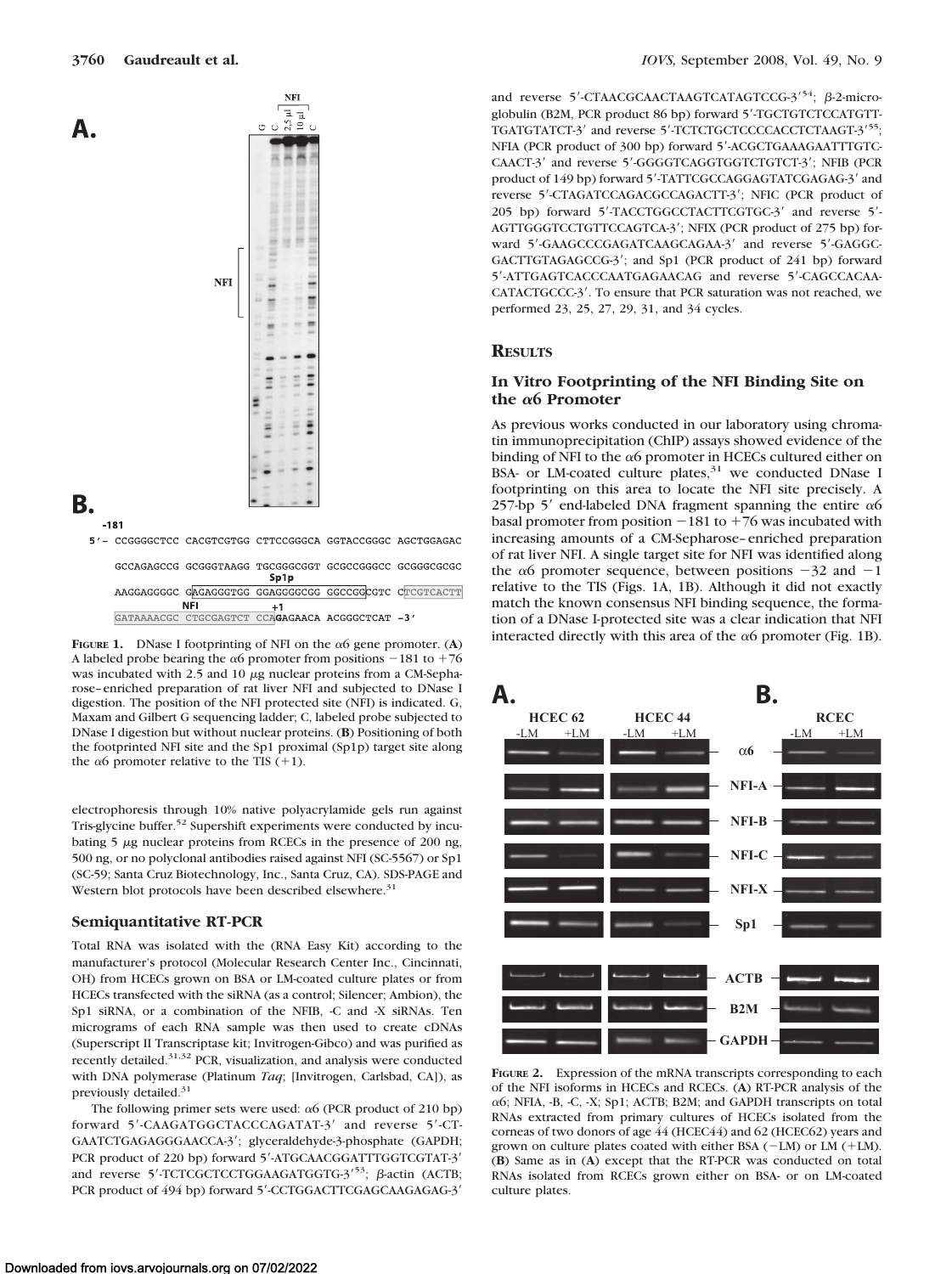

|            | AAGGAGGGCC GAGAGGGTGG GGAGGGGCGG GGCCGGCGTC CTCGTCACTT |  |  |
|------------|--------------------------------------------------------|--|--|
| <b>NFI</b> |                                                        |  |  |
|            | GATAAAACGC CTGCGAGTCT CCAGAGAACA ACGGGCTCAT -3'        |  |  |
|            |                                                        |  |  |

A labeled probe bearing the  $\alpha$ 6 promoter from positions  $-181$  to  $+76$ was incubated with 2.5 and 10  $\mu$ g nuclear proteins from a CM-Sepharose–enriched preparation of rat liver NFI and subjected to DNase I digestion. The position of the NFI protected site (NFI) is indicated. G, Maxam and Gilbert G sequencing ladder; C, labeled probe subjected to DNase I digestion but without nuclear proteins. (**B**) Positioning of both the footprinted NFI site and the Sp1 proximal (Sp1p) target site along the  $\alpha$ 6 promoter relative to the TIS (+1).

electrophoresis through 10% native polyacrylamide gels run against Tris-glycine buffer.52 Supershift experiments were conducted by incubating  $5 \mu$ g nuclear proteins from RCECs in the presence of 200 ng, 500 ng, or no polyclonal antibodies raised against NFI (SC-5567) or Sp1 (SC-59; Santa Cruz Biotechnology, Inc., Santa Cruz, CA). SDS-PAGE and Western blot protocols have been described elsewhere.<sup>31</sup>

#### **Semiquantitative RT-PCR**

Total RNA was isolated with the (RNA Easy Kit) according to the manufacturer's protocol (Molecular Research Center Inc., Cincinnati, OH) from HCECs grown on BSA or LM-coated culture plates or from HCECs transfected with the siRNA (as a control; Silencer; Ambion), the Sp1 siRNA, or a combination of the NFIB, -C and -X siRNAs. Ten micrograms of each RNA sample was then used to create cDNAs (Superscript II Transcriptase kit; Invitrogen-Gibco) and was purified as recently detailed.31,32 PCR, visualization, and analysis were conducted with DNA polymerase (Platinum *Taq*; [Invitrogen, Carlsbad, CA]), as previously detailed.<sup>31</sup>

The following primer sets were used:  $\alpha$ 6 (PCR product of 210 bp) forward 5'-CAAGATGGCTACCCAGATAT-3' and reverse 5'-CT-GAATCTGAGAGGGAACCA-3'; glyceraldehyde-3-phosphate (GAPDH; PCR product of 220 bp) forward 5'-ATGCAACGGATTTGGTCGTAT-3' and reverse 5'-TCTCGCTCCTGGAAGATGGTG-3'<sup>53</sup>;  $\beta$ -actin (ACTB; PCR product of 494 bp) forward 5'-CCTGGACTTCGAGCAAGAGAG-3'

and reverse 5'-CTAACGCAACTAAGTCATAGTCCG-3<sup>'54</sup>; β-2-microglobulin (B2M, PCR product 86 bp) forward 5'-TGCTGTCTCCATGTT-TGATGTATCT-3' and reverse 5'-TCTCTGCTCCCCACCTCTAAGT-3'55; NFIA (PCR product of 300 bp) forward 5-ACGCTGAAAGAATTTGTC-CAACT-3' and reverse 5'-GGGGTCAGGTGGTCTGTCT-3'; NFIB (PCR product of 149 bp) forward 5'-TATTCGCCAGGAGTATCGAGAG-3' and reverse 5'-CTAGATCCAGACGCCAGACTT-3'; NFIC (PCR product of 205 bp) forward 5'-TACCTGGCCTACTTCGTGC-3' and reverse 5'-AGTTGGGTCCTGTTCCAGTCA-3'; NFIX (PCR product of 275 bp) forward 5'-GAAGCCCGAGATCAAGCAGAA-3' and reverse 5'-GAGGC-GACTTGTAGAGCCG-3'; and Sp1 (PCR product of 241 bp) forward 5-ATTGAGTCACCCAATGAGAACAG and reverse 5-CAGCCACAA-CATACTGCCC-3'. To ensure that PCR saturation was not reached, we performed 23, 25, 27, 29, 31, and 34 cycles.

## **RESULTS**

## **In Vitro Footprinting of the NFI Binding Site on the 6 Promoter**

As previous works conducted in our laboratory using chromatin immunoprecipitation (ChIP) assays showed evidence of the binding of NFI to the  $\alpha$ 6 promoter in HCECs cultured either on BSA- or LM-coated culture plates,<sup>31</sup> we conducted DNase I footprinting on this area to locate the NFI site precisely. A 257-bp 5' end-labeled DNA fragment spanning the entire  $\alpha$ 6 basal promoter from position  $-181$  to  $+76$  was incubated with increasing amounts of a CM-Sepharose–enriched preparation of rat liver NFI. A single target site for NFI was identified along the  $\alpha$ 6 promoter sequence, between positions  $-32$  and  $-1$ relative to the TIS (Figs. 1A, 1B). Although it did not exactly match the known consensus NFI binding sequence, the formation of a DNase I-protected site was a clear indication that NFI FIGURE 1. DNase I footprinting of NFI on the  $\alpha$ 6 gene promoter. (A) interacted directly with this area of the  $\alpha$ 6 promoter (Fig. 1B).



**FIGURE 2.** Expression of the mRNA transcripts corresponding to each of the NFI isoforms in HCECs and RCECs. (**A**) RT-PCR analysis of the  $\alpha$ 6; NFIA, -B, -C, -X; Sp1; ACTB; B2M; and GAPDH transcripts on total RNAs extracted from primary cultures of HCECs isolated from the corneas of two donors of age 44 (HCEC44) and 62 (HCEC62) years and grown on culture plates coated with either BSA (-LM) or LM (+LM). (**B**) Same as in (**A**) except that the RT-PCR was conducted on total RNAs isolated from RCECs grown either on BSA- or on LM-coated culture plates.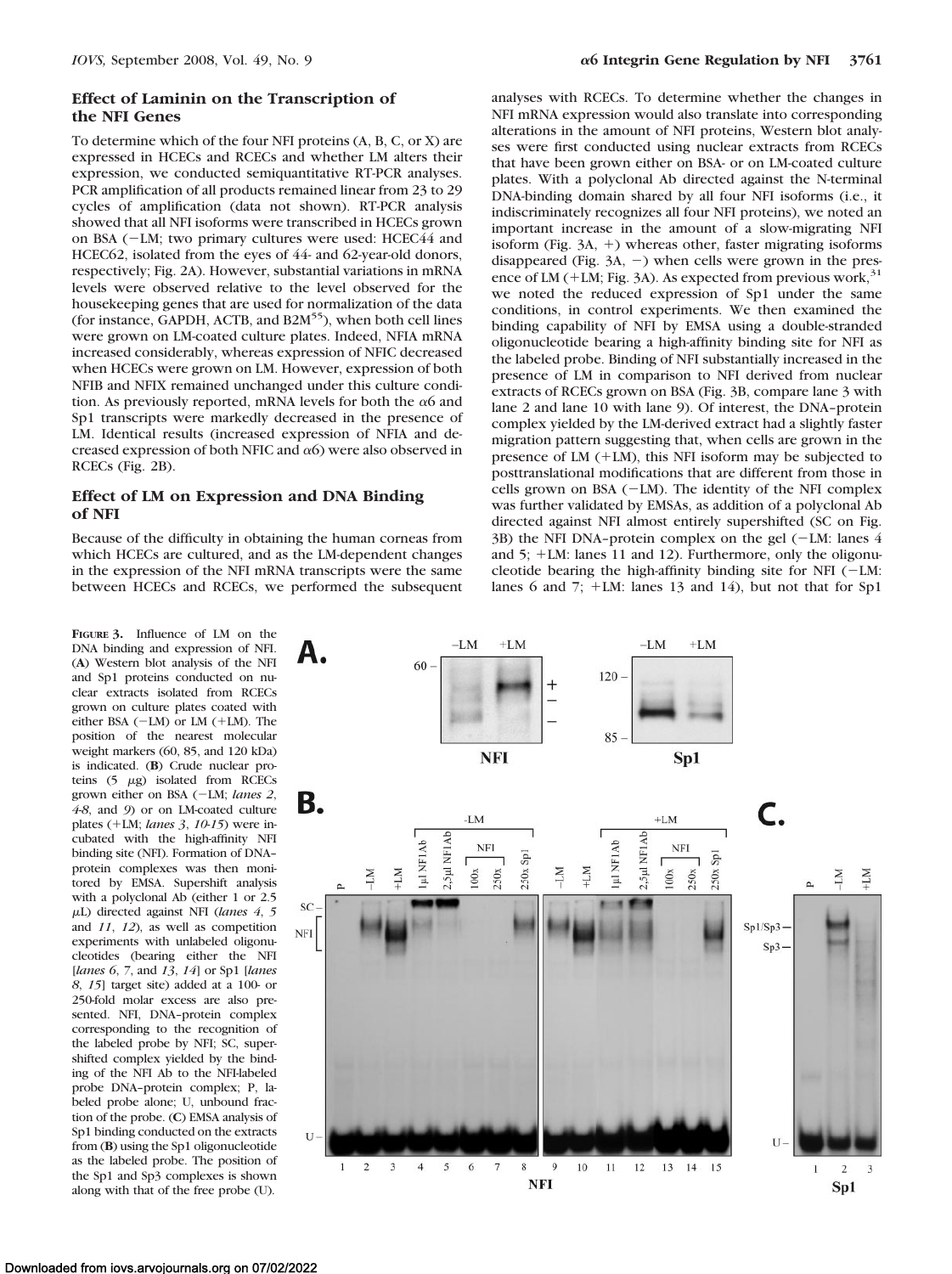## **Effect of Laminin on the Transcription of the NFI Genes**

To determine which of the four NFI proteins (A, B, C, or X) are expressed in HCECs and RCECs and whether LM alters their expression, we conducted semiquantitative RT-PCR analyses. PCR amplification of all products remained linear from 23 to 29 cycles of amplification (data not shown). RT-PCR analysis showed that all NFI isoforms were transcribed in HCECs grown on BSA (-LM; two primary cultures were used: HCEC44 and HCEC62, isolated from the eyes of 44- and 62-year-old donors, respectively; Fig. 2A). However, substantial variations in mRNA levels were observed relative to the level observed for the housekeeping genes that are used for normalization of the data (for instance, GAPDH, ACTB, and B2M<sup>55</sup>), when both cell lines were grown on LM-coated culture plates. Indeed, NFIA mRNA increased considerably, whereas expression of NFIC decreased when HCECs were grown on LM. However, expression of both NFIB and NFIX remained unchanged under this culture condition. As previously reported, mRNA levels for both the  $\alpha$ 6 and Sp1 transcripts were markedly decreased in the presence of LM. Identical results (increased expression of NFIA and decreased expression of both NFIC and  $\alpha$ 6) were also observed in RCECs (Fig. 2B).

## **Effect of LM on Expression and DNA Binding of NFI**

Because of the difficulty in obtaining the human corneas from which HCECs are cultured, and as the LM-dependent changes in the expression of the NFI mRNA transcripts were the same between HCECs and RCECs, we performed the subsequent

**FIGURE 3.** Influence of LM on the DNA binding and expression of NFI. (**A**) Western blot analysis of the NFI and Sp1 proteins conducted on nuclear extracts isolated from RCECs grown on culture plates coated with either BSA  $(-LM)$  or LM  $(+LM)$ . The position of the nearest molecular weight markers (60, 85, and 120 kDa) is indicated. (**B**) Crude nuclear proteins  $(5 \ \mu g)$  isolated from RCECs grown either on BSA (-LM; *lanes 2*, *4*-*8*, and *9*) or on LM-coated culture plates (+LM; *lanes* 3, 10-15) were incubated with the high-affinity NFI binding site (NFI). Formation of DNA– protein complexes was then monitored by EMSA. Supershift analysis with a polyclonal Ab (either 1 or 2.5 L) directed against NFI (*lanes 4*, *5* and *11*, *12*), as well as competition experiments with unlabeled oligonucleotides (bearing either the NFI [*lanes 6*, *7*, and *13*, *14*] or Sp1 [*lanes 8*, *15*] target site) added at a 100- or 250-fold molar excess are also presented. NFI, DNA–protein complex corresponding to the recognition of the labeled probe by NFI; SC, supershifted complex yielded by the binding of the NFI Ab to the NFI-labeled probe DNA–protein complex; P, labeled probe alone; U, unbound fraction of the probe. (**C**) EMSA analysis of Sp1 binding conducted on the extracts from (**B**) using the Sp1 oligonucleotide as the labeled probe. The position of the Sp1 and Sp3 complexes is shown along with that of the free probe (U).

analyses with RCECs. To determine whether the changes in NFI mRNA expression would also translate into corresponding alterations in the amount of NFI proteins, Western blot analyses were first conducted using nuclear extracts from RCECs that have been grown either on BSA- or on LM-coated culture plates. With a polyclonal Ab directed against the N-terminal DNA-binding domain shared by all four NFI isoforms (i.e., it indiscriminately recognizes all four NFI proteins), we noted an important increase in the amount of a slow-migrating NFI isoform (Fig.  $3A$ ,  $+$ ) whereas other, faster migrating isoforms disappeared (Fig.  $3A$ ,  $-$ ) when cells were grown in the presence of LM (+LM; Fig. 3A). As expected from previous work,  $31$ we noted the reduced expression of Sp1 under the same conditions, in control experiments. We then examined the binding capability of NFI by EMSA using a double-stranded oligonucleotide bearing a high-affinity binding site for NFI as the labeled probe. Binding of NFI substantially increased in the presence of LM in comparison to NFI derived from nuclear extracts of RCECs grown on BSA (Fig. 3B, compare lane 3 with lane 2 and lane 10 with lane 9). Of interest, the DNA–protein complex yielded by the LM-derived extract had a slightly faster migration pattern suggesting that, when cells are grown in the presence of LM  $(+LM)$ , this NFI isoform may be subjected to posttranslational modifications that are different from those in cells grown on BSA (-LM). The identity of the NFI complex was further validated by EMSAs, as addition of a polyclonal Ab directed against NFI almost entirely supershifted (SC on Fig. 3B) the NFI DNA–protein complex on the gel (-LM: lanes 4 and  $5$ ;  $+LM$ : lanes 11 and 12). Furthermore, only the oligonucleotide bearing the high-affinity binding site for NFI (-LM: lanes 6 and 7;  $+LM$ : lanes 13 and 14), but not that for Sp1

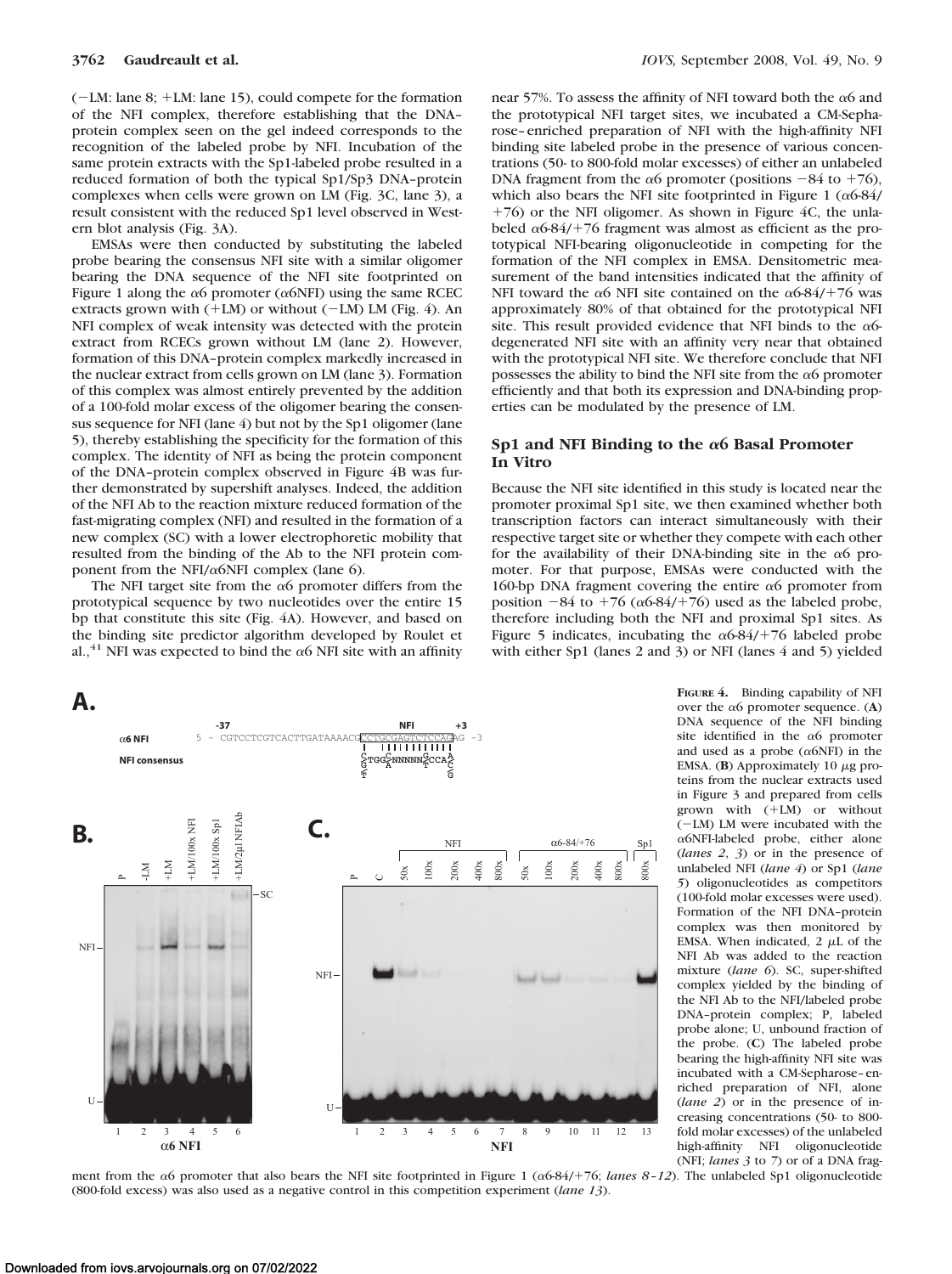(-LM: lane 8; +LM: lane 15), could compete for the formation of the NFI complex, therefore establishing that the DNA– protein complex seen on the gel indeed corresponds to the recognition of the labeled probe by NFI. Incubation of the same protein extracts with the Sp1-labeled probe resulted in a reduced formation of both the typical Sp1/Sp3 DNA–protein complexes when cells were grown on LM (Fig. 3C, lane 3), a result consistent with the reduced Sp1 level observed in Western blot analysis (Fig. 3A).

EMSAs were then conducted by substituting the labeled probe bearing the consensus NFI site with a similar oligomer bearing the DNA sequence of the NFI site footprinted on Figure 1 along the  $\alpha$ 6 promoter ( $\alpha$ 6NFI) using the same RCEC extracts grown with  $(+LM)$  or without  $(-LM)$  LM (Fig. 4). An NFI complex of weak intensity was detected with the protein extract from RCECs grown without LM (lane 2). However, formation of this DNA–protein complex markedly increased in the nuclear extract from cells grown on LM (lane 3). Formation of this complex was almost entirely prevented by the addition of a 100-fold molar excess of the oligomer bearing the consensus sequence for NFI (lane 4) but not by the Sp1 oligomer (lane 5), thereby establishing the specificity for the formation of this complex. The identity of NFI as being the protein component of the DNA–protein complex observed in Figure 4B was further demonstrated by supershift analyses. Indeed, the addition of the NFI Ab to the reaction mixture reduced formation of the fast-migrating complex (NFI) and resulted in the formation of a new complex (SC) with a lower electrophoretic mobility that resulted from the binding of the Ab to the NFI protein component from the NFI/ $\alpha$ 6NFI complex (lane 6).

The NFI target site from the  $\alpha$ 6 promoter differs from the prototypical sequence by two nucleotides over the entire 15 bp that constitute this site (Fig. 4A). However, and based on the binding site predictor algorithm developed by Roulet et al.,<sup>41</sup> NFI was expected to bind the  $\alpha$ 6 NFI site with an affinity



near 57%. To assess the affinity of NFI toward both the  $\alpha$ 6 and the prototypical NFI target sites, we incubated a CM-Sepharose–enriched preparation of NFI with the high-affinity NFI binding site labeled probe in the presence of various concentrations (50- to 800-fold molar excesses) of either an unlabeled DNA fragment from the  $\alpha$ 6 promoter (positions  $-84$  to  $+76$ ), which also bears the NFI site footprinted in Figure 1 ( $\alpha$ 6-84/  $+76$ ) or the NFI oligomer. As shown in Figure 4C, the unlabeled  $\alpha$ 6-84/+76 fragment was almost as efficient as the prototypical NFI-bearing oligonucleotide in competing for the formation of the NFI complex in EMSA. Densitometric measurement of the band intensities indicated that the affinity of NFI toward the  $\alpha$ 6 NFI site contained on the  $\alpha$ 6-84/+76 was approximately 80% of that obtained for the prototypical NFI site. This result provided evidence that NFI binds to the  $\alpha$ 6degenerated NFI site with an affinity very near that obtained with the prototypical NFI site. We therefore conclude that NFI possesses the ability to bind the NFI site from the  $\alpha$ 6 promoter efficiently and that both its expression and DNA-binding properties can be modulated by the presence of LM.

## Sp1 and NFI Binding to the  $\alpha$ 6 Basal Promoter **In Vitro**

Because the NFI site identified in this study is located near the promoter proximal Sp1 site, we then examined whether both transcription factors can interact simultaneously with their respective target site or whether they compete with each other for the availability of their DNA-binding site in the  $\alpha$ 6 promoter. For that purpose, EMSAs were conducted with the 160-bp DNA fragment covering the entire  $\alpha$ 6 promoter from position  $-84$  to  $+76$  ( $\alpha$ 6-84/ $+76$ ) used as the labeled probe, therefore including both the NFI and proximal Sp1 sites. As Figure 5 indicates, incubating the  $\alpha$ 6-84/+76 labeled probe with either Sp1 (lanes 2 and 3) or NFI (lanes 4 and 5) yielded



ment from the  $\alpha$ 6 promoter that also bears the NFI site footprinted in Figure 1 ( $\alpha$ 6-84/+76; *lanes 8-12*). The unlabeled Sp1 oligonucleotide (800-fold excess) was also used as a negative control in this competition experiment (*lane 13*).

over the  $\alpha$ 6 promoter sequence. (A) DNA sequence of the NFI binding site identified in the  $\alpha$ 6 promoter and used as a probe ( $\alpha$ 6NFI) in the EMSA. (**B**) Approximately 10  $\mu$ g proteins from the nuclear extracts used in Figure 3 and prepared from cells grown with (+LM) or without (-LM) LM were incubated with the  $\alpha$ 6NFI-labeled probe, either alone (*lanes 2*, *3*) or in the presence of unlabeled NFI (*lane 4*) or Sp1 (*lane 5*) oligonucleotides as competitors (100-fold molar excesses were used). Formation of the NFI DNA–protein complex was then monitored by EMSA. When indicated,  $2 \mu L$  of the NFI Ab was added to the reaction mixture (*lane 6*). SC, super-shifted complex yielded by the binding of the NFI Ab to the NFI/labeled probe DNA–protein complex; P, labeled probe alone; U, unbound fraction of the probe. (**C**) The labeled probe bearing the high-affinity NFI site was incubated with a CM-Sepharose–enriched preparation of NFI, alone (*lane 2*) or in the presence of increasing concentrations (50- to 800 fold molar excesses) of the unlabeled high-affinity NFI oligonucleotide (NFI; *lanes 3* to *7*) or of a DNA frag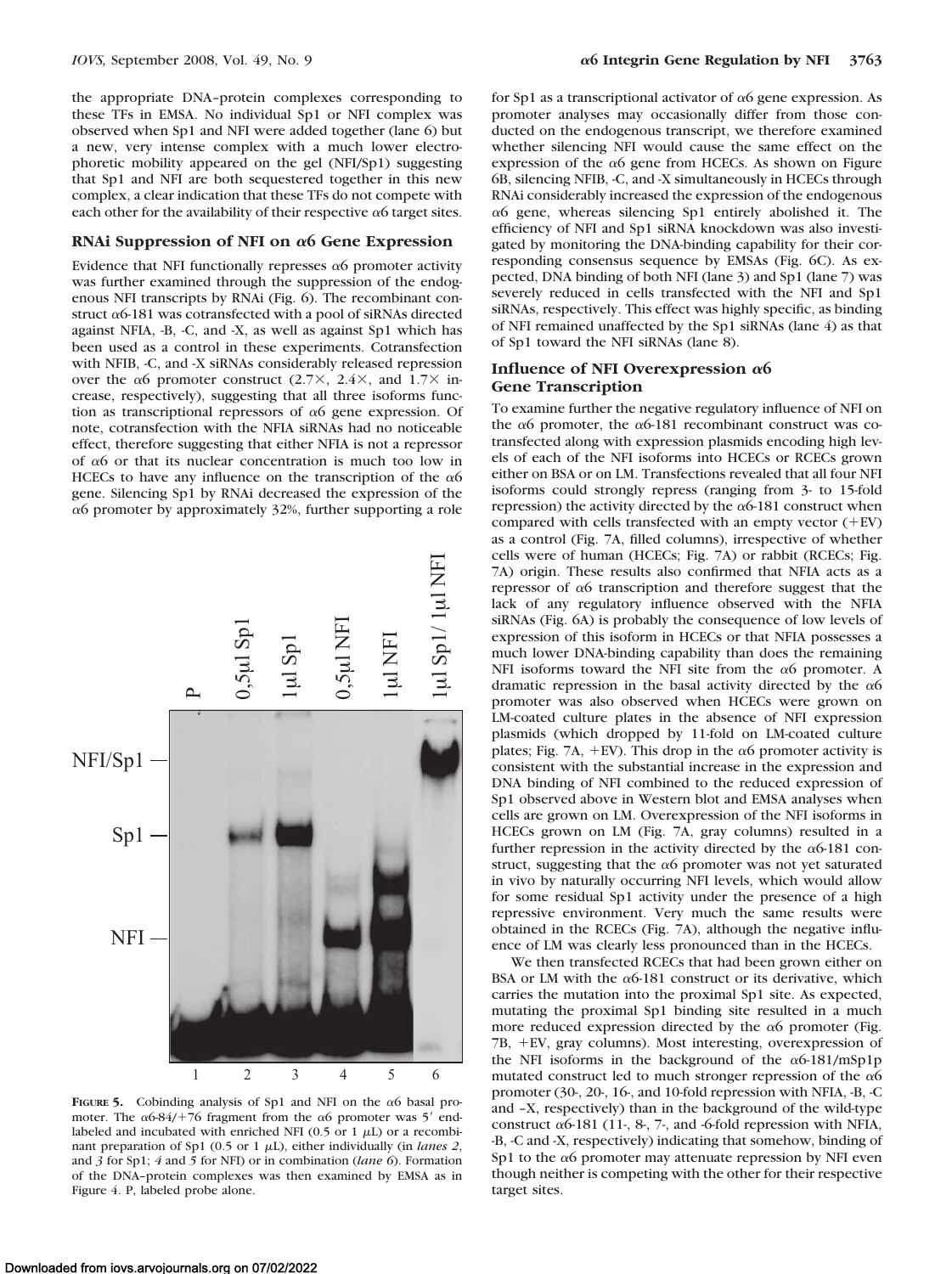the appropriate DNA–protein complexes corresponding to these TFs in EMSA. No individual Sp1 or NFI complex was observed when Sp1 and NFI were added together (lane 6) but a new, very intense complex with a much lower electrophoretic mobility appeared on the gel (NFI/Sp1) suggesting that Sp1 and NFI are both sequestered together in this new complex, a clear indication that these TFs do not compete with each other for the availability of their respective  $\alpha$ 6 target sites.

#### **RNAi Suppression of NFI on α6 Gene Expression**

Evidence that NFI functionally represses  $\alpha$ 6 promoter activity was further examined through the suppression of the endogenous NFI transcripts by RNAi (Fig. 6). The recombinant construct  $\alpha$ 6-181 was cotransfected with a pool of siRNAs directed against NFIA, -B, -C, and -X, as well as against Sp1 which has been used as a control in these experiments. Cotransfection with NFIB, -C, and -X siRNAs considerably released repression over the  $\alpha$ 6 promoter construct (2.7×, 2.4×, and 1.7× increase, respectively), suggesting that all three isoforms function as transcriptional repressors of  $\alpha$ 6 gene expression. Of note, cotransfection with the NFIA siRNAs had no noticeable effect, therefore suggesting that either NFIA is not a repressor of  $\alpha$ 6 or that its nuclear concentration is much too low in HCECs to have any influence on the transcription of the  $\alpha$ 6 gene. Silencing Sp1 by RNAi decreased the expression of the  $\alpha$ 6 promoter by approximately 32%, further supporting a role



**FIGURE 5.** Cobinding analysis of Sp1 and NFI on the  $\alpha$ 6 basal promoter. The  $\alpha$ 6-84/+76 fragment from the  $\alpha$ 6 promoter was 5' endlabeled and incubated with enriched NFI (0.5 or 1  $\mu$ L) or a recombinant preparation of Sp1 (0.5 or 1  $\mu$ L), either individually (in *lanes 2*, and *3* for Sp1; *4* and *5* for NFI) or in combination (*lane 6*). Formation of the DNA–protein complexes was then examined by EMSA as in Figure 4. P, labeled probe alone.

for Sp1 as a transcriptional activator of  $\alpha$ 6 gene expression. As promoter analyses may occasionally differ from those conducted on the endogenous transcript, we therefore examined whether silencing NFI would cause the same effect on the expression of the  $\alpha$ 6 gene from HCECs. As shown on Figure 6B, silencing NFIB, -C, and -X simultaneously in HCECs through RNAi considerably increased the expression of the endogenous  $\alpha$ 6 gene, whereas silencing Sp1 entirely abolished it. The efficiency of NFI and Sp1 siRNA knockdown was also investigated by monitoring the DNA-binding capability for their corresponding consensus sequence by EMSAs (Fig. 6C). As expected, DNA binding of both NFI (lane 3) and Sp1 (lane 7) was severely reduced in cells transfected with the NFI and Sp1 siRNAs, respectively. This effect was highly specific, as binding of NFI remained unaffected by the Sp1 siRNAs (lane 4) as that of Sp1 toward the NFI siRNAs (lane 8).

### **Influence of NFI Overexpression** α6 **Gene Transcription**

To examine further the negative regulatory influence of NFI on the  $\alpha$ 6 promoter, the  $\alpha$ 6-181 recombinant construct was cotransfected along with expression plasmids encoding high levels of each of the NFI isoforms into HCECs or RCECs grown either on BSA or on LM. Transfections revealed that all four NFI isoforms could strongly repress (ranging from 3- to 15-fold repression) the activity directed by the  $\alpha$ 6-181 construct when compared with cells transfected with an empty vector  $(+EV)$ as a control (Fig. 7A, filled columns), irrespective of whether cells were of human (HCECs; Fig. 7A) or rabbit (RCECs; Fig. 7A) origin. These results also confirmed that NFIA acts as a repressor of  $\alpha$ 6 transcription and therefore suggest that the lack of any regulatory influence observed with the NFIA siRNAs (Fig. 6A) is probably the consequence of low levels of expression of this isoform in HCECs or that NFIA possesses a much lower DNA-binding capability than does the remaining NFI isoforms toward the NFI site from the  $\alpha$ 6 promoter. A dramatic repression in the basal activity directed by the  $\alpha$ 6 promoter was also observed when HCECs were grown on LM-coated culture plates in the absence of NFI expression plasmids (which dropped by 11-fold on LM-coated culture plates; Fig. 7A, +EV). This drop in the  $\alpha$ 6 promoter activity is consistent with the substantial increase in the expression and DNA binding of NFI combined to the reduced expression of Sp1 observed above in Western blot and EMSA analyses when cells are grown on LM. Overexpression of the NFI isoforms in HCECs grown on LM (Fig. 7A, gray columns) resulted in a further repression in the activity directed by the  $\alpha$ 6-181 construct, suggesting that the  $\alpha$ 6 promoter was not yet saturated in vivo by naturally occurring NFI levels, which would allow for some residual Sp1 activity under the presence of a high repressive environment. Very much the same results were obtained in the RCECs (Fig. 7A), although the negative influence of LM was clearly less pronounced than in the HCECs.

We then transfected RCECs that had been grown either on BSA or LM with the  $\alpha$ 6-181 construct or its derivative, which carries the mutation into the proximal Sp1 site. As expected, mutating the proximal Sp1 binding site resulted in a much more reduced expression directed by the  $\alpha$ 6 promoter (Fig. 7B, +EV, gray columns). Most interesting, overexpression of the NFI isoforms in the background of the  $\alpha$ 6-181/mSp1p mutated construct led to much stronger repression of the  $\alpha$ 6 promoter (30-, 20-, 16-, and 10-fold repression with NFIA, -B, -C and –X, respectively) than in the background of the wild-type construct  $\alpha$ 6-181 (11-, 8-, 7-, and -6-fold repression with NFIA, -B, -C and -X, respectively) indicating that somehow, binding of Sp1 to the  $\alpha$ 6 promoter may attenuate repression by NFI even though neither is competing with the other for their respective target sites.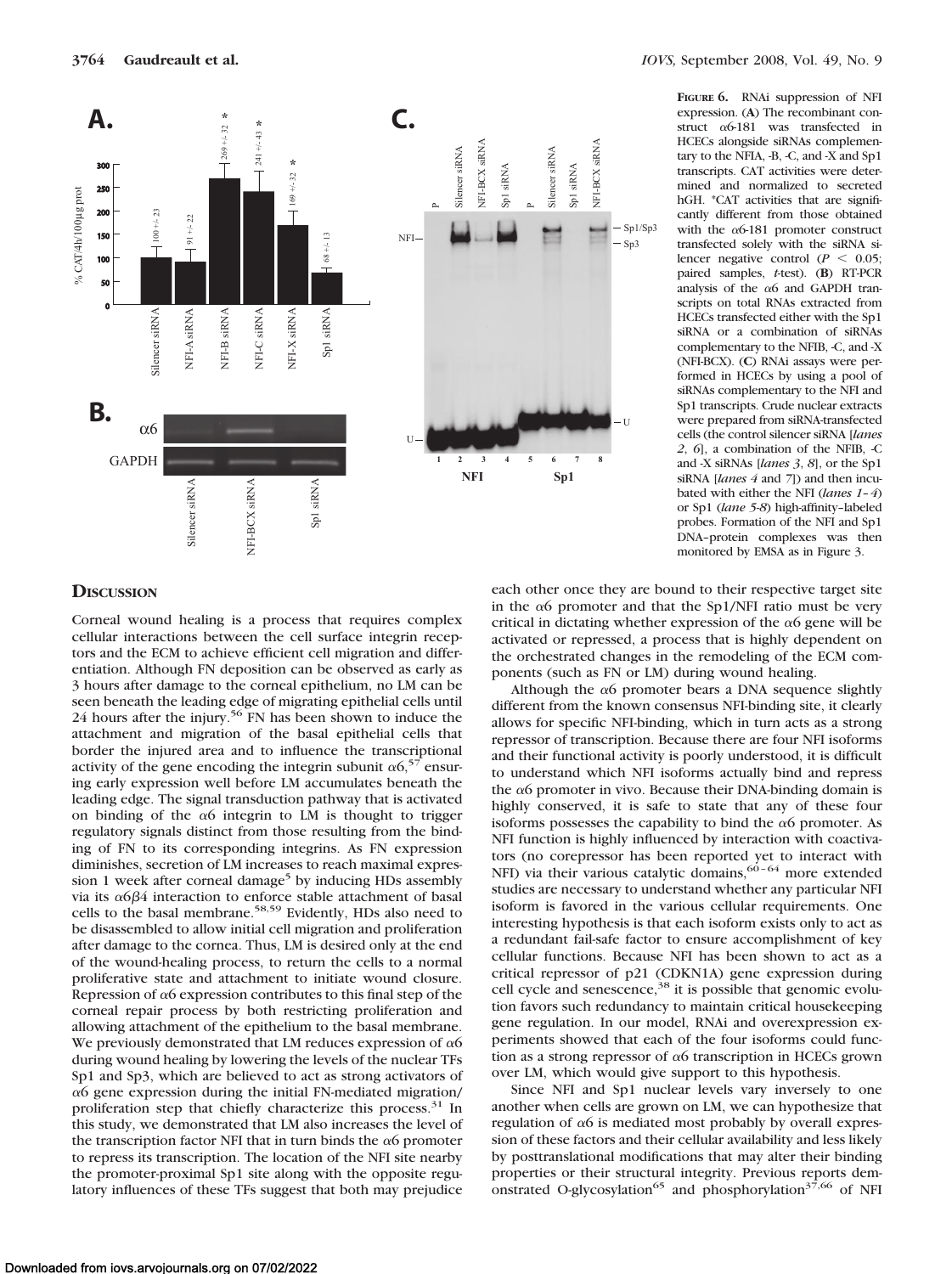

**FIGURE 6.** RNAi suppression of NFI expression. (**A**) The recombinant construct  $\alpha$ 6-181 was transfected in HCECs alongside siRNAs complementary to the NFIA, -B, -C, and -X and Sp1 transcripts. CAT activities were determined and normalized to secreted hGH. \*CAT activities that are significantly different from those obtained with the  $\alpha$ 6-181 promoter construct transfected solely with the siRNA silencer negative control ( $P < 0.05$ ; paired samples, *t*-test). (**B**) RT-PCR analysis of the  $\alpha$ 6 and GAPDH transcripts on total RNAs extracted from HCECs transfected either with the Sp1 siRNA or a combination of siRNAs complementary to the NFIB, -C, and -X (NFI-BCX). (**C**) RNAi assays were performed in HCECs by using a pool of siRNAs complementary to the NFI and Sp1 transcripts. Crude nuclear extracts were prepared from siRNA-transfected cells (the control silencer siRNA [*lanes 2*, *6*], a combination of the NFIB, -C and -X siRNAs [*lanes 3*, *8*], or the Sp1 siRNA [*lanes 4* and *7*]) and then incubated with either the NFI (*lanes 1–4*) or Sp1 (*lane 5*-*8*) high-affinity–labeled probes. Formation of the NFI and Sp1 DNA–protein complexes was then monitored by EMSA as in Figure 3.

## **DISCUSSION**

Corneal wound healing is a process that requires complex cellular interactions between the cell surface integrin receptors and the ECM to achieve efficient cell migration and differentiation. Although FN deposition can be observed as early as 3 hours after damage to the corneal epithelium, no LM can be seen beneath the leading edge of migrating epithelial cells until 24 hours after the injury.<sup>56</sup> FN has been shown to induce the attachment and migration of the basal epithelial cells that border the injured area and to influence the transcriptional activity of the gene encoding the integrin subunit  $\alpha 6$ ,<sup>57</sup> ensuring early expression well before LM accumulates beneath the leading edge. The signal transduction pathway that is activated on binding of the  $\alpha$ 6 integrin to LM is thought to trigger regulatory signals distinct from those resulting from the binding of FN to its corresponding integrins. As FN expression diminishes, secretion of LM increases to reach maximal expression 1 week after corneal damage<sup>5</sup> by inducing HDs assembly via its  $\alpha$ 6 $\beta$ 4 interaction to enforce stable attachment of basal cells to the basal membrane.58,59 Evidently, HDs also need to be disassembled to allow initial cell migration and proliferation after damage to the cornea. Thus, LM is desired only at the end of the wound-healing process, to return the cells to a normal proliferative state and attachment to initiate wound closure. Repression of  $\alpha$ 6 expression contributes to this final step of the corneal repair process by both restricting proliferation and allowing attachment of the epithelium to the basal membrane. We previously demonstrated that LM reduces expression of  $\alpha$ 6 during wound healing by lowering the levels of the nuclear TFs Sp1 and Sp3, which are believed to act as strong activators of  $\alpha$ 6 gene expression during the initial FN-mediated migration/ proliferation step that chiefly characterize this process.<sup>31</sup> In this study, we demonstrated that LM also increases the level of the transcription factor NFI that in turn binds the  $\alpha$ 6 promoter to repress its transcription. The location of the NFI site nearby the promoter-proximal Sp1 site along with the opposite regulatory influences of these TFs suggest that both may prejudice each other once they are bound to their respective target site in the  $\alpha$ 6 promoter and that the Sp1/NFI ratio must be very critical in dictating whether expression of the  $\alpha$ 6 gene will be activated or repressed, a process that is highly dependent on the orchestrated changes in the remodeling of the ECM components (such as FN or LM) during wound healing.

Although the  $\alpha$ 6 promoter bears a DNA sequence slightly different from the known consensus NFI-binding site, it clearly allows for specific NFI-binding, which in turn acts as a strong repressor of transcription. Because there are four NFI isoforms and their functional activity is poorly understood, it is difficult to understand which NFI isoforms actually bind and repress the  $\alpha$ 6 promoter in vivo. Because their DNA-binding domain is highly conserved, it is safe to state that any of these four isoforms possesses the capability to bind the  $\alpha$ 6 promoter. As NFI function is highly influenced by interaction with coactivators (no corepressor has been reported yet to interact with NFI) via their various catalytic domains,  $60 - 64$  more extended studies are necessary to understand whether any particular NFI isoform is favored in the various cellular requirements. One interesting hypothesis is that each isoform exists only to act as a redundant fail-safe factor to ensure accomplishment of key cellular functions. Because NFI has been shown to act as a critical repressor of p21 (CDKN1A) gene expression during cell cycle and senescence,<sup>38</sup> it is possible that genomic evolution favors such redundancy to maintain critical housekeeping gene regulation. In our model, RNAi and overexpression experiments showed that each of the four isoforms could function as a strong repressor of  $\alpha$ 6 transcription in HCECs grown over LM, which would give support to this hypothesis.

Since NFI and Sp1 nuclear levels vary inversely to one another when cells are grown on LM, we can hypothesize that regulation of  $\alpha$ 6 is mediated most probably by overall expression of these factors and their cellular availability and less likely by posttranslational modifications that may alter their binding properties or their structural integrity. Previous reports demonstrated O-glycosylation<sup>65</sup> and phosphorylation<sup>37,66</sup> of NFI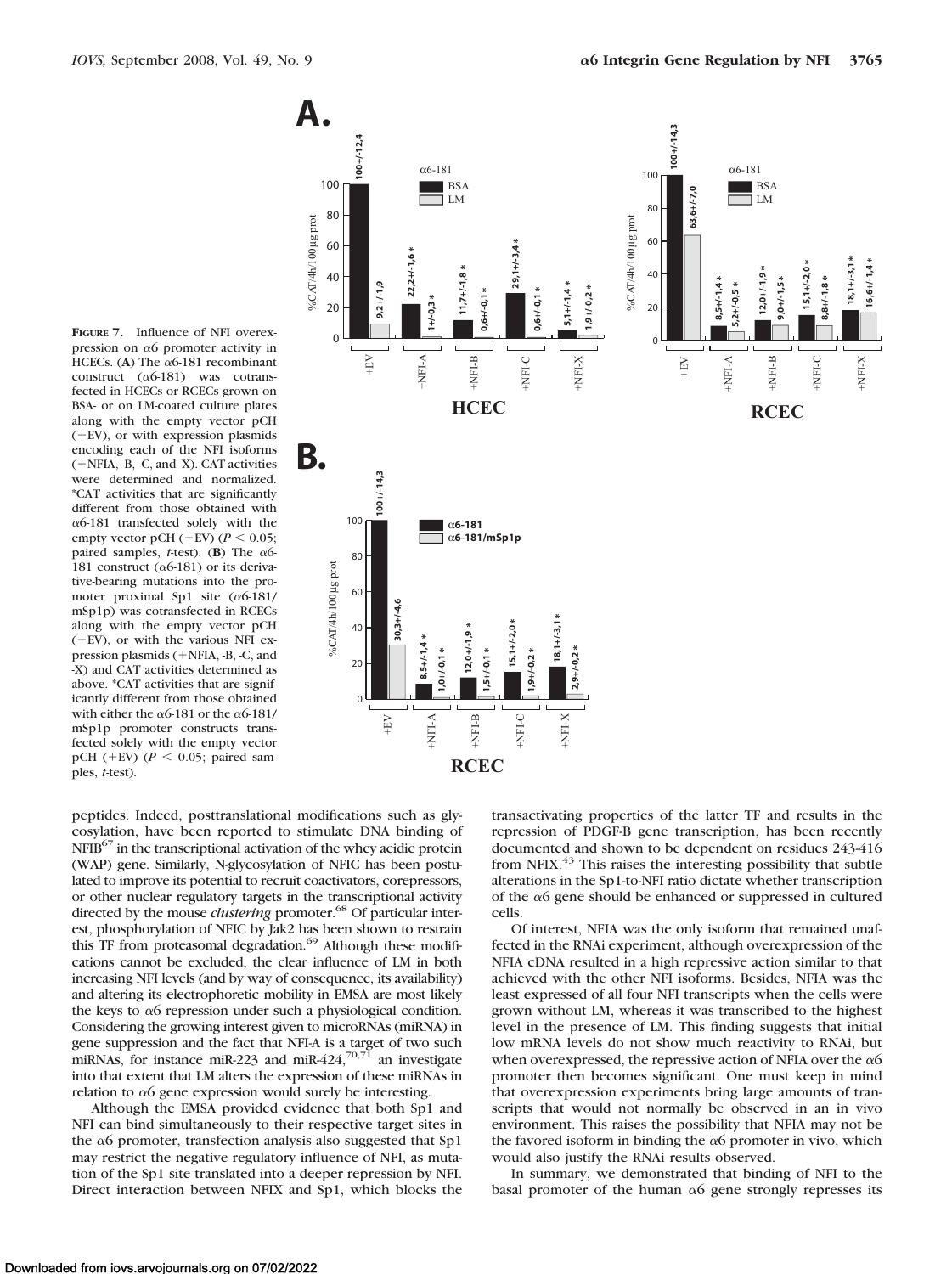**FIGURE 7.** Influence of NFI overexpression on  $\alpha$ 6 promoter activity in HCECs. (A) The  $\alpha$ 6-181 recombinant construct  $(\alpha 6-181)$  was cotransfected in HCECs or RCECs grown on BSA- or on LM-coated culture plates along with the empty vector pCH  $(+EV)$ , or with expression plasmids encoding each of the NFI isoforms (+NFIA, -B, -C, and -X). CAT activities were determined and normalized. \*CAT activities that are significantly different from those obtained with  $\alpha$ 6-181 transfected solely with the empty vector pCH ( $+$ EV) ( $P$  < 0.05; paired samples, *t*-test). (**B**) The  $\alpha$ 6-181 construct ( $\alpha$ 6-181) or its derivative-bearing mutations into the promoter proximal Sp1 site  $(\alpha$ 6-181/ mSp1p) was cotransfected in RCECs along with the empty vector pCH (EV), or with the various NFI expression plasmids (+NFIA, -B, -C, and -X) and CAT activities determined as above. \*CAT activities that are significantly different from those obtained with either the  $\alpha$ 6-181 or the  $\alpha$ 6-181/ mSp1p promoter constructs transfected solely with the empty vector pCH ( $+$ EV) ( $P$  < 0.05; paired samples, *t*-test).



peptides. Indeed, posttranslational modifications such as glycosylation, have been reported to stimulate DNA binding of NFIB<sup>67</sup> in the transcriptional activation of the whey acidic protein (WAP) gene. Similarly, N-glycosylation of NFIC has been postulated to improve its potential to recruit coactivators, corepressors, or other nuclear regulatory targets in the transcriptional activity directed by the mouse *clustering* promoter.<sup>68</sup> Of particular interest, phosphorylation of NFIC by Jak2 has been shown to restrain this TF from proteasomal degradation.<sup>69</sup> Although these modifications cannot be excluded, the clear influence of LM in both increasing NFI levels (and by way of consequence, its availability) and altering its electrophoretic mobility in EMSA are most likely the keys to  $\alpha$ 6 repression under such a physiological condition. Considering the growing interest given to microRNAs (miRNA) in gene suppression and the fact that NFI-A is a target of two such miRNAs, for instance miR-223 and miR-424,<sup>70,71</sup> an investigate into that extent that LM alters the expression of these miRNAs in relation to  $\alpha$ 6 gene expression would surely be interesting.

Although the EMSA provided evidence that both Sp1 and NFI can bind simultaneously to their respective target sites in the  $\alpha$ 6 promoter, transfection analysis also suggested that Sp1 may restrict the negative regulatory influence of NFI, as mutation of the Sp1 site translated into a deeper repression by NFI. Direct interaction between NFIX and Sp1, which blocks the

transactivating properties of the latter TF and results in the repression of PDGF-B gene transcription, has been recently documented and shown to be dependent on residues 243-416 from NFIX.<sup>43</sup> This raises the interesting possibility that subtle alterations in the Sp1-to-NFI ratio dictate whether transcription of the  $\alpha$ 6 gene should be enhanced or suppressed in cultured cells.

Of interest, NFIA was the only isoform that remained unaffected in the RNAi experiment, although overexpression of the NFIA cDNA resulted in a high repressive action similar to that achieved with the other NFI isoforms. Besides, NFIA was the least expressed of all four NFI transcripts when the cells were grown without LM, whereas it was transcribed to the highest level in the presence of LM. This finding suggests that initial low mRNA levels do not show much reactivity to RNAi, but when overexpressed, the repressive action of NFIA over the  $\alpha$ 6 promoter then becomes significant. One must keep in mind that overexpression experiments bring large amounts of transcripts that would not normally be observed in an in vivo environment. This raises the possibility that NFIA may not be the favored isoform in binding the  $\alpha$ 6 promoter in vivo, which would also justify the RNAi results observed.

In summary, we demonstrated that binding of NFI to the basal promoter of the human  $\alpha$ 6 gene strongly represses its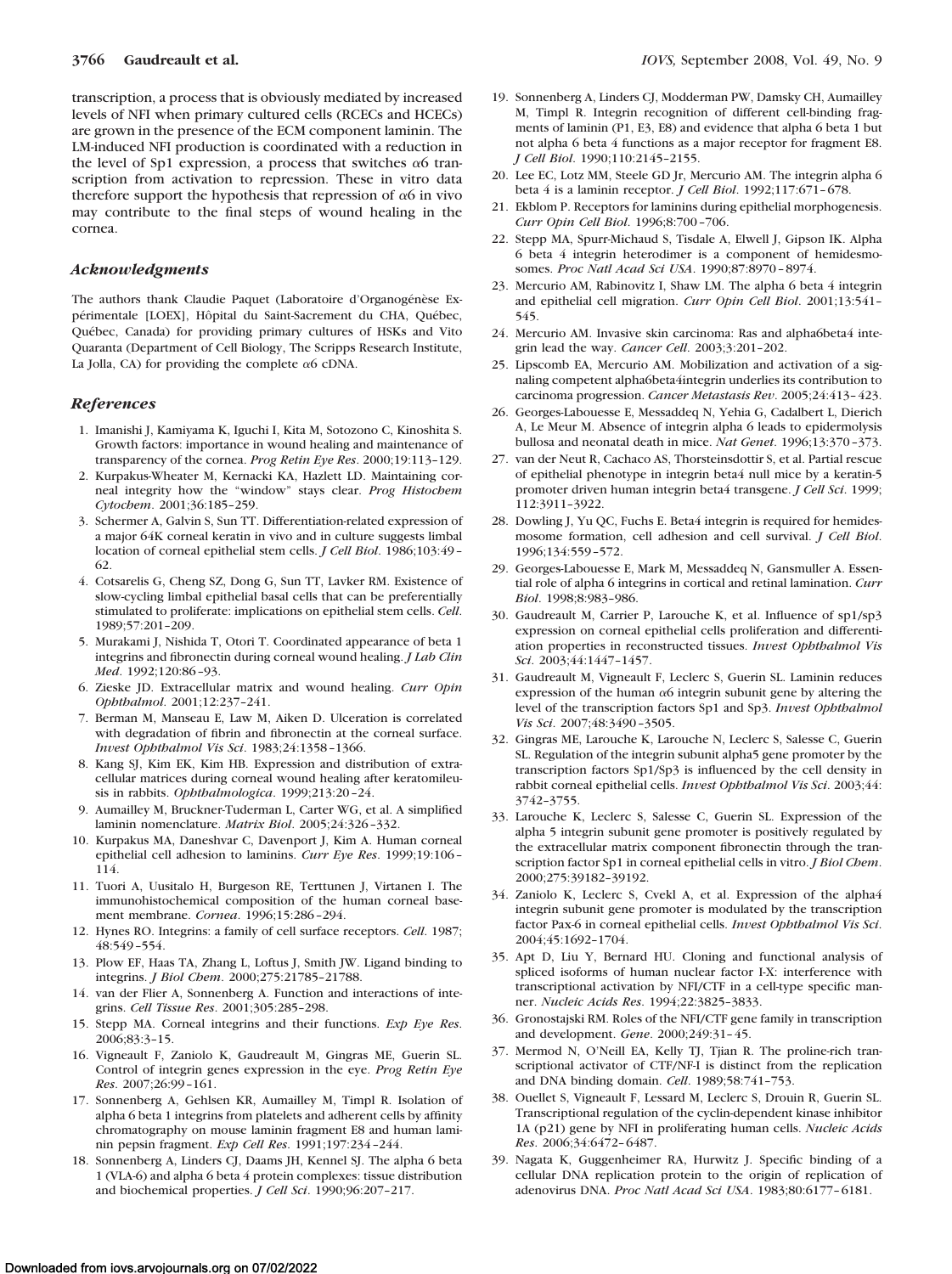transcription, a process that is obviously mediated by increased levels of NFI when primary cultured cells (RCECs and HCECs) are grown in the presence of the ECM component laminin. The LM-induced NFI production is coordinated with a reduction in the level of Sp1 expression, a process that switches  $\alpha$ 6 transcription from activation to repression. These in vitro data therefore support the hypothesis that repression of  $\alpha$ 6 in vivo may contribute to the final steps of wound healing in the cornea.

#### *Acknowledgments*

The authors thank Claudie Paquet (Laboratoire d'Organogénèse Expérimentale [LOEX], Hôpital du Saint-Sacrement du CHA, Québec, Québec, Canada) for providing primary cultures of HSKs and Vito Quaranta (Department of Cell Biology, The Scripps Research Institute, La Jolla, CA) for providing the complete  $\alpha$ 6 cDNA.

#### *References*

- 1. Imanishi J, Kamiyama K, Iguchi I, Kita M, Sotozono C, Kinoshita S. Growth factors: importance in wound healing and maintenance of transparency of the cornea. *Prog Retin Eye Res*. 2000;19:113–129.
- 2. Kurpakus-Wheater M, Kernacki KA, Hazlett LD. Maintaining corneal integrity how the "window" stays clear. *Prog Histochem Cytochem*. 2001;36:185–259.
- 3. Schermer A, Galvin S, Sun TT. Differentiation-related expression of a major 64K corneal keratin in vivo and in culture suggests limbal location of corneal epithelial stem cells. *J Cell Biol*. 1986;103:49 – 62.
- 4. Cotsarelis G, Cheng SZ, Dong G, Sun TT, Lavker RM. Existence of slow-cycling limbal epithelial basal cells that can be preferentially stimulated to proliferate: implications on epithelial stem cells. *Cell*. 1989;57:201–209.
- 5. Murakami J, Nishida T, Otori T. Coordinated appearance of beta 1 integrins and fibronectin during corneal wound healing. *J Lab Clin Med*. 1992;120:86 –93.
- 6. Zieske JD. Extracellular matrix and wound healing. *Curr Opin Ophthalmol*. 2001;12:237–241.
- 7. Berman M, Manseau E, Law M, Aiken D. Ulceration is correlated with degradation of fibrin and fibronectin at the corneal surface. *Invest Ophthalmol Vis Sci*. 1983;24:1358 –1366.
- 8. Kang SJ, Kim EK, Kim HB. Expression and distribution of extracellular matrices during corneal wound healing after keratomileusis in rabbits. *Ophthalmologica*. 1999;213:20 –24.
- 9. Aumailley M, Bruckner-Tuderman L, Carter WG, et al. A simplified laminin nomenclature. *Matrix Biol*. 2005;24:326 –332.
- 10. Kurpakus MA, Daneshvar C, Davenport J, Kim A. Human corneal epithelial cell adhesion to laminins. *Curr Eye Res*. 1999;19:106 – 114.
- 11. Tuori A, Uusitalo H, Burgeson RE, Terttunen J, Virtanen I. The immunohistochemical composition of the human corneal basement membrane. *Cornea*. 1996;15:286 –294.
- 12. Hynes RO. Integrins: a family of cell surface receptors. *Cell*. 1987; 48:549 –554.
- 13. Plow EF, Haas TA, Zhang L, Loftus J, Smith JW. Ligand binding to integrins. *J Biol Chem*. 2000;275:21785–21788.
- 14. van der Flier A, Sonnenberg A. Function and interactions of integrins. *Cell Tissue Res*. 2001;305:285–298.
- 15. Stepp MA. Corneal integrins and their functions. *Exp Eye Res*. 2006;83:3–15.
- 16. Vigneault F, Zaniolo K, Gaudreault M, Gingras ME, Guerin SL. Control of integrin genes expression in the eye. *Prog Retin Eye Res*. 2007;26:99 –161.
- 17. Sonnenberg A, Gehlsen KR, Aumailley M, Timpl R. Isolation of alpha 6 beta 1 integrins from platelets and adherent cells by affinity chromatography on mouse laminin fragment E8 and human laminin pepsin fragment. *Exp Cell Res*. 1991;197:234 –244.
- 18. Sonnenberg A, Linders CJ, Daams JH, Kennel SJ. The alpha 6 beta 1 (VLA-6) and alpha 6 beta 4 protein complexes: tissue distribution and biochemical properties. *J Cell Sci*. 1990;96:207–217.
- 19. Sonnenberg A, Linders CJ, Modderman PW, Damsky CH, Aumailley M, Timpl R. Integrin recognition of different cell-binding fragments of laminin (P1, E3, E8) and evidence that alpha 6 beta 1 but not alpha 6 beta 4 functions as a major receptor for fragment E8. *J Cell Biol*. 1990;110:2145–2155.
- 20. Lee EC, Lotz MM, Steele GD Jr, Mercurio AM. The integrin alpha 6 beta 4 is a laminin receptor. *J Cell Biol*. 1992;117:671– 678.
- 21. Ekblom P. Receptors for laminins during epithelial morphogenesis. *Curr Opin Cell Biol*. 1996;8:700 –706.
- 22. Stepp MA, Spurr-Michaud S, Tisdale A, Elwell J, Gipson IK. Alpha 6 beta 4 integrin heterodimer is a component of hemidesmosomes. *Proc Natl Acad Sci USA*. 1990;87:8970 – 8974.
- 23. Mercurio AM, Rabinovitz I, Shaw LM. The alpha 6 beta 4 integrin and epithelial cell migration. *Curr Opin Cell Biol*. 2001;13:541– 545.
- 24. Mercurio AM. Invasive skin carcinoma: Ras and alpha6beta4 integrin lead the way. *Cancer Cell*. 2003;3:201–202.
- 25. Lipscomb EA, Mercurio AM. Mobilization and activation of a signaling competent alpha6beta4integrin underlies its contribution to carcinoma progression. *Cancer Metastasis Rev*. 2005;24:413– 423.
- 26. Georges-Labouesse E, Messaddeq N, Yehia G, Cadalbert L, Dierich A, Le Meur M. Absence of integrin alpha 6 leads to epidermolysis bullosa and neonatal death in mice. *Nat Genet*. 1996;13:370 –373.
- 27. van der Neut R, Cachaco AS, Thorsteinsdottir S, et al. Partial rescue of epithelial phenotype in integrin beta4 null mice by a keratin-5 promoter driven human integrin beta4 transgene. *J Cell Sci*. 1999; 112:3911–3922.
- 28. Dowling J, Yu QC, Fuchs E. Beta4 integrin is required for hemidesmosome formation, cell adhesion and cell survival. *J Cell Biol*. 1996;134:559 –572.
- 29. Georges-Labouesse E, Mark M, Messaddeq N, Gansmuller A. Essential role of alpha 6 integrins in cortical and retinal lamination. *Curr Biol*. 1998;8:983–986.
- 30. Gaudreault M, Carrier P, Larouche K, et al. Influence of sp1/sp3 expression on corneal epithelial cells proliferation and differentiation properties in reconstructed tissues. *Invest Ophthalmol Vis Sci*. 2003;44:1447–1457.
- 31. Gaudreault M, Vigneault F, Leclerc S, Guerin SL. Laminin reduces expression of the human  $\alpha$ 6 integrin subunit gene by altering the level of the transcription factors Sp1 and Sp3. *Invest Ophthalmol Vis Sci*. 2007;48:3490 –3505.
- 32. Gingras ME, Larouche K, Larouche N, Leclerc S, Salesse C, Guerin SL. Regulation of the integrin subunit alpha5 gene promoter by the transcription factors Sp1/Sp3 is influenced by the cell density in rabbit corneal epithelial cells. *Invest Ophthalmol Vis Sci*. 2003;44: 3742–3755.
- 33. Larouche K, Leclerc S, Salesse C, Guerin SL. Expression of the alpha 5 integrin subunit gene promoter is positively regulated by the extracellular matrix component fibronectin through the transcription factor Sp1 in corneal epithelial cells in vitro. *J Biol Chem*. 2000;275:39182–39192.
- 34. Zaniolo K, Leclerc S, Cvekl A, et al. Expression of the alpha4 integrin subunit gene promoter is modulated by the transcription factor Pax-6 in corneal epithelial cells. *Invest Ophthalmol Vis Sci*. 2004;45:1692–1704.
- 35. Apt D, Liu Y, Bernard HU. Cloning and functional analysis of spliced isoforms of human nuclear factor I-X: interference with transcriptional activation by NFI/CTF in a cell-type specific manner. *Nucleic Acids Res*. 1994;22:3825–3833.
- 36. Gronostajski RM. Roles of the NFI/CTF gene family in transcription and development. *Gene*. 2000;249:31– 45.
- 37. Mermod N, O'Neill EA, Kelly TJ, Tjian R. The proline-rich transcriptional activator of CTF/NF-I is distinct from the replication and DNA binding domain. *Cell*. 1989;58:741–753.
- 38. Ouellet S, Vigneault F, Lessard M, Leclerc S, Drouin R, Guerin SL. Transcriptional regulation of the cyclin-dependent kinase inhibitor 1A (p21) gene by NFI in proliferating human cells. *Nucleic Acids Res*. 2006;34:6472– 6487.
- 39. Nagata K, Guggenheimer RA, Hurwitz J. Specific binding of a cellular DNA replication protein to the origin of replication of adenovirus DNA. *Proc Natl Acad Sci USA*. 1983;80:6177– 6181.